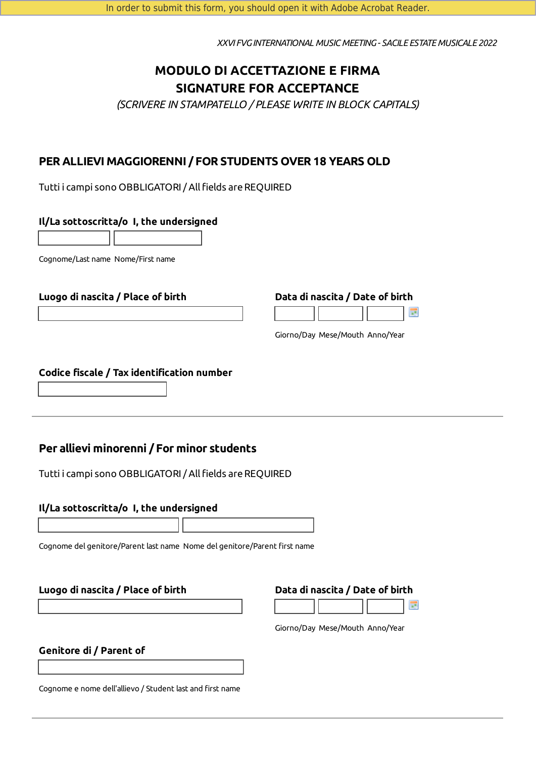*XXVI FVGINTERNATIONAL MUSIC MEETING- SACILE ESTATE MUSICALE 2022*

# **MODULO DI ACCETTAZIONE E FIRMA SIGNATURE FOR ACCEPTANCE**

*(SCRIVERE IN STAMPATELLO / PLEASE WRITE IN BLOCK CAPITALS)*

# **PER ALLIEVI MAGGIORENNI / FOR STUDENTS OVER 18 YEARS OLD**

Tutti i campi sono OBBLIGATORI / All fields are REQUIRED

#### **Il/La sottoscritta/o I, the undersigned**

Cognome/Last name Nome/First name

#### **Luogo di nascita / Place of birth Data di nascita / Date of birth**



Giorno/Day Mese/Mouth Anno/Year

#### **Codice fiscale / Tax identification number**

## **Per allievi minorenni / For minor students**

Tutti i campi sono OBBLIGATORI / All fields are REQUIRED

#### **Il/La sottoscritta/o I, the undersigned**

Cognome del genitore/Parent last name Nome del genitore/Parent first name

#### **Luogo di nascita / Place of birth Data di nascita / Date of birth**



Giorno/Day Mese/Mouth Anno/Year

### **Genitore di / Parent of**

Cognome e nome dell'allievo / Student last and first name